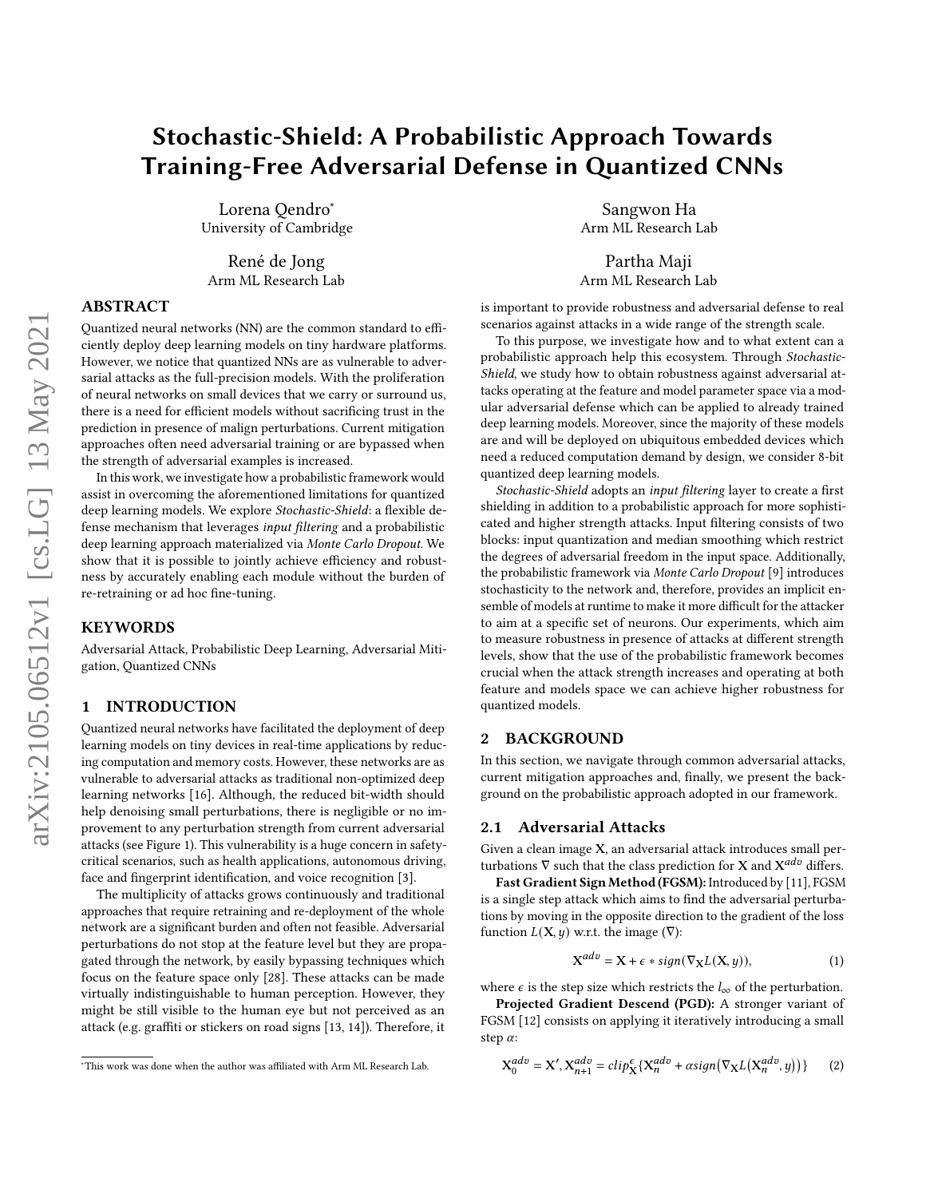# Stochastic-Shield: A Probabilistic Approach Towards Training-Free Adversarial Defense in Quantized CNNs

Lorena Qendro<sup>∗</sup> University of Cambridge

René de Jong Arm ML Research Lab

### ABSTRACT

Quantized neural networks (NN) are the common standard to efficiently deploy deep learning models on tiny hardware platforms. However, we notice that quantized NNs are as vulnerable to adversarial attacks as the full-precision models. With the proliferation of neural networks on small devices that we carry or surround us, there is a need for efficient models without sacrificing trust in the prediction in presence of malign perturbations. Current mitigation approaches often need adversarial training or are bypassed when the strength of adversarial examples is increased.

In this work, we investigate how a probabilistic framework would assist in overcoming the aforementioned limitations for quantized deep learning models. We explore Stochastic-Shield: a flexible defense mechanism that leverages input filtering and a probabilistic deep learning approach materialized via Monte Carlo Dropout. We show that it is possible to jointly achieve efficiency and robustness by accurately enabling each module without the burden of re-retraining or ad hoc fine-tuning.

#### **KEYWORDS**

Adversarial Attack, Probabilistic Deep Learning, Adversarial Mitigation, Quantized CNNs

## 1 INTRODUCTION

Quantized neural networks have facilitated the deployment of deep learning models on tiny devices in real-time applications by reducing computation and memory costs. However, these networks are as vulnerable to adversarial attacks as traditional non-optimized deep learning networks [\[16\]](#page-5-0). Although, the reduced bit-width should help denoising small perturbations, there is negligible or no improvement to any perturbation strength from current adversarial attacks (see Figure [1\)](#page-1-0). This vulnerability is a huge concern in safetycritical scenarios, such as health applications, autonomous driving, face and fingerprint identification, and voice recognition [\[3\]](#page-4-0).

The multiplicity of attacks grows continuously and traditional approaches that require retraining and re-deployment of the whole network are a significant burden and often not feasible. Adversarial perturbations do not stop at the feature level but they are propagated through the network, by easily bypassing techniques which focus on the feature space only [\[28\]](#page-5-1). These attacks can be made virtually indistinguishable to human perception. However, they might be still visible to the human eye but not perceived as an attack (e.g. graffiti or stickers on road signs [\[13,](#page-5-2) [14\]](#page-5-3)). Therefore, it

Sangwon Ha Arm ML Research Lab

Partha Maji Arm ML Research Lab

is important to provide robustness and adversarial defense to real scenarios against attacks in a wide range of the strength scale.

To this purpose, we investigate how and to what extent can a probabilistic approach help this ecosystem. Through Stochastic-Shield, we study how to obtain robustness against adversarial attacks operating at the feature and model parameter space via a modular adversarial defense which can be applied to already trained deep learning models. Moreover, since the majority of these models are and will be deployed on ubiquitous embedded devices which need a reduced computation demand by design, we consider 8-bit quantized deep learning models.

Stochastic-Shield adopts an input filtering layer to create a first shielding in addition to a probabilistic approach for more sophisticated and higher strength attacks. Input filtering consists of two blocks: input quantization and median smoothing which restrict the degrees of adversarial freedom in the input space. Additionally, the probabilistic framework via Monte Carlo Dropout [\[9\]](#page-5-4) introduces stochasticity to the network and, therefore, provides an implicit ensemble of models at runtime to make it more difficult for the attacker to aim at a specific set of neurons. Our experiments, which aim to measure robustness in presence of attacks at different strength levels, show that the use of the probabilistic framework becomes crucial when the attack strength increases and operating at both feature and models space we can achieve higher robustness for quantized models.

### 2 BACKGROUND

In this section, we navigate through common adversarial attacks, current mitigation approaches and, finally, we present the background on the probabilistic approach adopted in our framework.

#### 2.1 Adversarial Attacks

Given a clean image X, an adversarial attack introduces small perturbations  $\nabla$  such that the class prediction for **X** and  $X^{adv}$  differs.

Fast Gradient Sign Method (FGSM): Introduced by [\[11\]](#page-5-5), FGSM is a single step attack which aims to find the adversarial perturbations by moving in the opposite direction to the gradient of the loss function  $L(X, y)$  w.r.t. the image  $(\nabla)$ :

$$
X^{adv} = X + \epsilon * sign(\nabla_X L(X, y)), \tag{1}
$$

where  $\epsilon$  is the step size which restricts the  $l_{\infty}$  of the perturbation.

Projected Gradient Descend (PGD): A stronger variant of FGSM [\[12\]](#page-5-6) consists on applying it iteratively introducing a small step  $\alpha$ :

<span id="page-0-0"></span>
$$
X_0^{adv} = X', X_{n+1}^{adv} = clip_{X}^{\epsilon} \{ X_n^{adv} + \alpha sign(\nabla_X L(X_n^{adv}, y)) \}
$$
 (2)

<sup>∗</sup>This work was done when the author was affiliated with Arm ML Research Lab.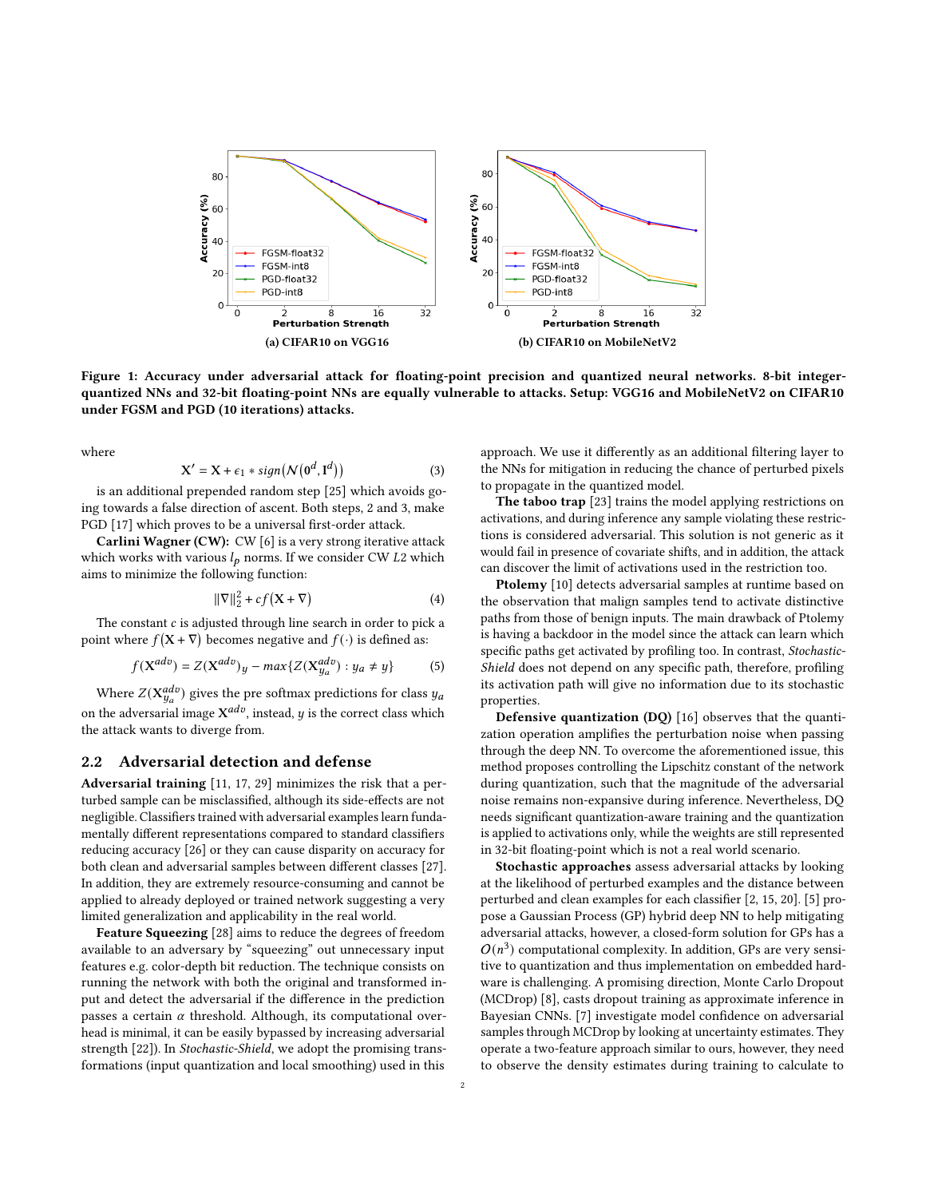<span id="page-1-0"></span>

Figure 1: Accuracy under adversarial attack for floating-point precision and quantized neural networks. 8-bit integerquantized NNs and 32-bit floating-point NNs are equally vulnerable to attacks. Setup: VGG16 and MobileNetV2 on CIFAR10 under FGSM and PGD (10 iterations) attacks.

where

<span id="page-1-1"></span>
$$
X' = X + \epsilon_1 * sign(N(0^d, I^d))
$$
 (3)

is an additional prepended random step [\[25\]](#page-5-7) which avoids going towards a false direction of ascent. Both steps, [2](#page-0-0) and [3,](#page-1-1) make PGD [\[17\]](#page-5-8) which proves to be a universal first-order attack.

Carlini Wagner (CW): CW [\[6\]](#page-5-9) is a very strong iterative attack which works with various  $l_p$  norms. If we consider CW L2 which aims to minimize the following function:

$$
\|\nabla\|_2^2 + cf(\mathbf{X} + \nabla) \tag{4}
$$

The constant  $c$  is adjusted through line search in order to pick a point where  $f(\mathbf{X} + \nabla)$  becomes negative and  $f(\cdot)$  is defined as:

$$
f(\mathbf{X}^{adv}) = Z(\mathbf{X}^{adv})y - max\{Z(\mathbf{X}_{y_a}^{adv}) : y_a \neq y\}
$$
 (5)

Where  $Z(\mathbf{X}_{y_a}^{adv})$  gives the pre softmax predictions for class  $y_a$ on the adversarial image  $X^{adv}$ , instead, y is the correct class which the attack wants to diverge from.

#### 2.2 Adversarial detection and defense

Adversarial training [\[11,](#page-5-5) [17,](#page-5-8) [29\]](#page-5-10) minimizes the risk that a perturbed sample can be misclassified, although its side-effects are not negligible. Classifiers trained with adversarial examples learn fundamentally different representations compared to standard classifiers reducing accuracy [\[26\]](#page-5-11) or they can cause disparity on accuracy for both clean and adversarial samples between different classes [\[27\]](#page-5-12). In addition, they are extremely resource-consuming and cannot be applied to already deployed or trained network suggesting a very limited generalization and applicability in the real world.

Feature Squeezing [\[28\]](#page-5-1) aims to reduce the degrees of freedom available to an adversary by "squeezing" out unnecessary input features e.g. color-depth bit reduction. The technique consists on running the network with both the original and transformed input and detect the adversarial if the difference in the prediction passes a certain  $\alpha$  threshold. Although, its computational overhead is minimal, it can be easily bypassed by increasing adversarial strength [\[22\]](#page-5-13)). In Stochastic-Shield, we adopt the promising transformations (input quantization and local smoothing) used in this

approach. We use it differently as an additional filtering layer to the NNs for mitigation in reducing the chance of perturbed pixels to propagate in the quantized model.

The taboo trap [\[23\]](#page-5-14) trains the model applying restrictions on activations, and during inference any sample violating these restrictions is considered adversarial. This solution is not generic as it would fail in presence of covariate shifts, and in addition, the attack can discover the limit of activations used in the restriction too.

Ptolemy [\[10\]](#page-5-15) detects adversarial samples at runtime based on the observation that malign samples tend to activate distinctive paths from those of benign inputs. The main drawback of Ptolemy is having a backdoor in the model since the attack can learn which specific paths get activated by profiling too. In contrast, Stochastic-Shield does not depend on any specific path, therefore, profiling its activation path will give no information due to its stochastic properties.

Defensive quantization (DQ) [\[16\]](#page-5-0) observes that the quantization operation amplifies the perturbation noise when passing through the deep NN. To overcome the aforementioned issue, this method proposes controlling the Lipschitz constant of the network during quantization, such that the magnitude of the adversarial noise remains non-expansive during inference. Nevertheless, DQ needs significant quantization-aware training and the quantization is applied to activations only, while the weights are still represented in 32-bit floating-point which is not a real world scenario.

Stochastic approaches assess adversarial attacks by looking at the likelihood of perturbed examples and the distance between perturbed and clean examples for each classifier [\[2,](#page-4-1) [15,](#page-5-16) [20\]](#page-5-17). [\[5\]](#page-5-18) propose a Gaussian Process (GP) hybrid deep NN to help mitigating adversarial attacks, however, a closed-form solution for GPs has a  $O(n^3)$  computational complexity. In addition, GPs are very sensitive to quantization and thus implementation on embedded hardware is challenging. A promising direction, Monte Carlo Dropout (MCDrop) [\[8\]](#page-5-19), casts dropout training as approximate inference in Bayesian CNNs. [\[7\]](#page-5-20) investigate model confidence on adversarial samples through MCDrop by looking at uncertainty estimates. They operate a two-feature approach similar to ours, however, they need to observe the density estimates during training to calculate to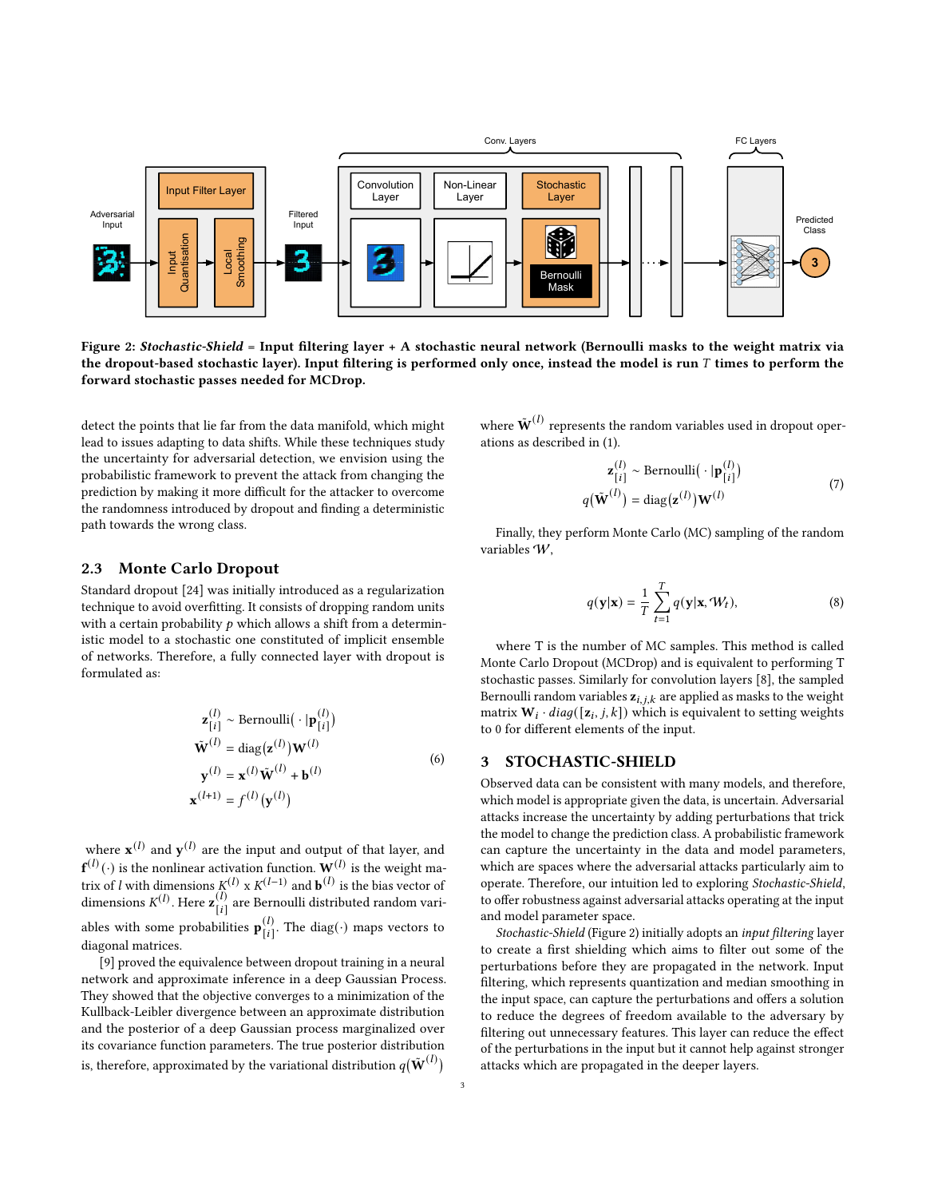<span id="page-2-0"></span>

Figure 2: Stochastic-Shield = Input filtering layer + A stochastic neural network (Bernoulli masks to the weight matrix via the dropout-based stochastic layer). Input filtering is performed only once, instead the model is run  $T$  times to perform the forward stochastic passes needed for MCDrop.

detect the points that lie far from the data manifold, which might lead to issues adapting to data shifts. While these techniques study the uncertainty for adversarial detection, we envision using the probabilistic framework to prevent the attack from changing the prediction by making it more difficult for the attacker to overcome the randomness introduced by dropout and finding a deterministic path towards the wrong class.

#### 2.3 Monte Carlo Dropout

Standard dropout [\[24\]](#page-5-21) was initially introduced as a regularization technique to avoid overfitting. It consists of dropping random units with a certain probability  $p$  which allows a shift from a deterministic model to a stochastic one constituted of implicit ensemble of networks. Therefore, a fully connected layer with dropout is formulated as:

$$
\mathbf{z}_{[i]}^{(l)} \sim \text{Bernoulli}(\cdot |\mathbf{p}_{[i]}^{(l)})
$$
  

$$
\tilde{\mathbf{W}}^{(l)} = \text{diag}(\mathbf{z}^{(l)}) \mathbf{W}^{(l)}
$$
  

$$
\mathbf{y}^{(l)} = \mathbf{x}^{(l)} \tilde{\mathbf{W}}^{(l)} + \mathbf{b}^{(l)}
$$
  

$$
\mathbf{x}^{(l+1)} = f^{(l)}(\mathbf{y}^{(l)})
$$
 (6)

where  $\mathbf{x}^{(l)}$  and  $\mathbf{y}^{(l)}$  are the input and output of that layer, and  $\mathbf{f}^{(l)}(\cdot)$  is the nonlinear activation function.  $\mathbf{W}^{(l)}$  is the weight matrix of l with dimensions  $K^{(1)} \times K^{(1-1)}$  and  $\mathbf{b}^{(1)}$  is the bias vector of dimensions  $K^{(l)}$ . Here  $\mathbf{z}_{[i]}^{(l)}$  $\binom{1}{i}$  are Bernoulli distributed random variables with some probabilities  $\mathbf{p}_{1i}^{(l)}$  $\begin{bmatrix} (l) \ [l] \end{bmatrix}$ . The diag( $\cdot$ ) maps vectors to diagonal matrices.

[\[9\]](#page-5-4) proved the equivalence between dropout training in a neural network and approximate inference in a deep Gaussian Process. They showed that the objective converges to a minimization of the Kullback-Leibler divergence between an approximate distribution and the posterior of a deep Gaussian process marginalized over its covariance function parameters. The true posterior distribution is, therefore, approximated by the variational distribution  $q(\tilde{\textbf{W}}^{(l)})$ 

where  $\tilde{\textbf{W}}^{(l)}$  represents the random variables used in dropout operations as described in (1).

$$
\mathbf{z}_{[i]}^{(l)} \sim \text{Bernoulli}(\cdot | \mathbf{p}_{[i]}^{(l)})
$$

$$
q(\tilde{\mathbf{W}}^{(l)}) = \text{diag}(\mathbf{z}^{(l)}) \mathbf{W}^{(l)}
$$
(7)

Finally, they perform Monte Carlo (MC) sampling of the random variables W,

$$
q(\mathbf{y}|\mathbf{x}) = \frac{1}{T} \sum_{t=1}^{T} q(\mathbf{y}|\mathbf{x}, \mathcal{W}_t),
$$
\n(8)

where T is the number of MC samples. This method is called Monte Carlo Dropout (MCDrop) and is equivalent to performing T stochastic passes. Similarly for convolution layers [\[8\]](#page-5-19), the sampled Bernoulli random variables  $z_{i,j,k}$  are applied as masks to the weight matrix  $\mathbf{W}_i \cdot diag([\mathbf{z}_i, j, k])$  which is equivalent to setting weights to 0 for different elements of the input.

#### 3 STOCHASTIC-SHIELD

Observed data can be consistent with many models, and therefore, which model is appropriate given the data, is uncertain. Adversarial attacks increase the uncertainty by adding perturbations that trick the model to change the prediction class. A probabilistic framework can capture the uncertainty in the data and model parameters, which are spaces where the adversarial attacks particularly aim to operate. Therefore, our intuition led to exploring Stochastic-Shield, to offer robustness against adversarial attacks operating at the input and model parameter space.

Stochastic-Shield (Figure [2\)](#page-2-0) initially adopts an input filtering layer to create a first shielding which aims to filter out some of the perturbations before they are propagated in the network. Input filtering, which represents quantization and median smoothing in the input space, can capture the perturbations and offers a solution to reduce the degrees of freedom available to the adversary by filtering out unnecessary features. This layer can reduce the effect of the perturbations in the input but it cannot help against stronger attacks which are propagated in the deeper layers.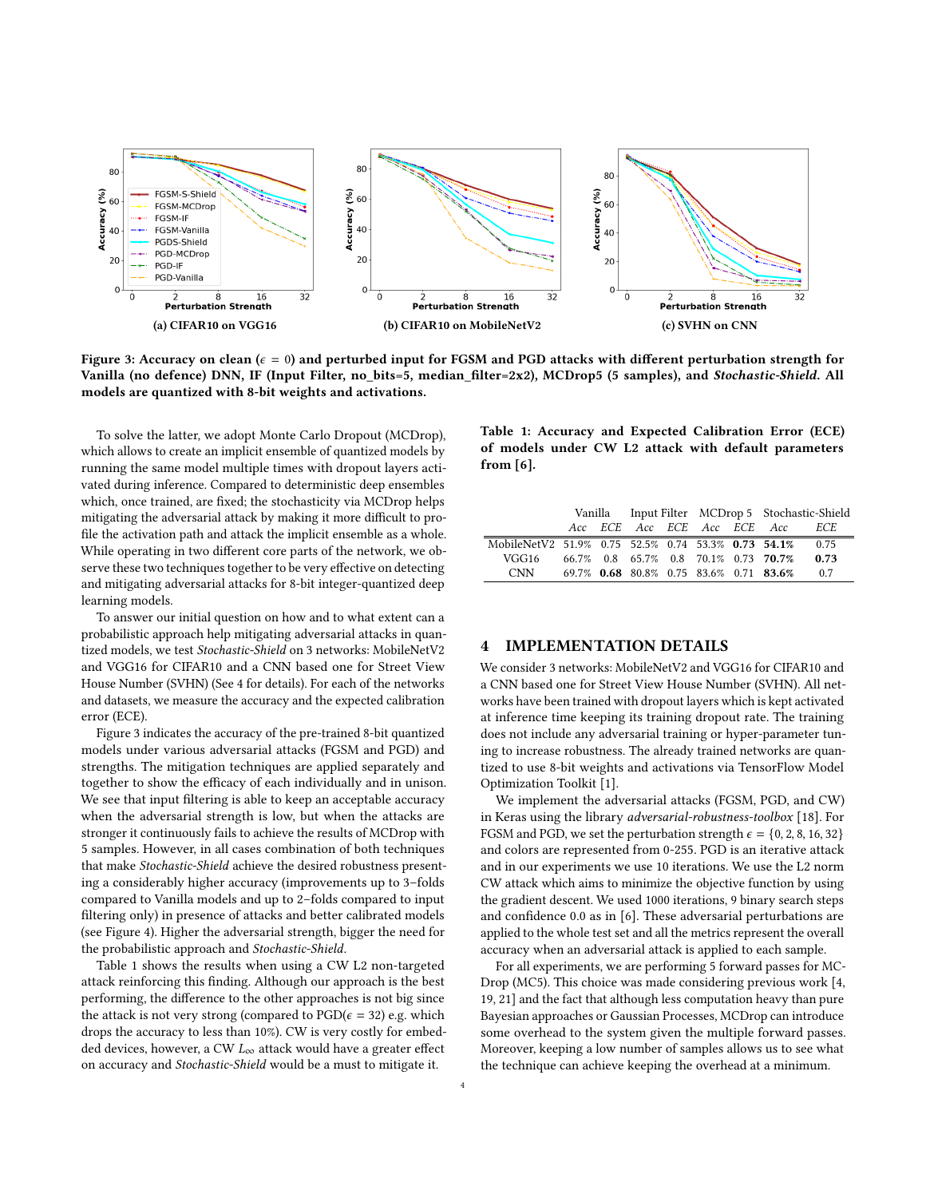<span id="page-3-1"></span>

Figure 3: Accuracy on clean ( $\epsilon = 0$ ) and perturbed input for FGSM and PGD attacks with different perturbation strength for Vanilla (no defence) DNN, IF (Input Filter, no\_bits=5, median\_filter=2x2), MCDrop5 (5 samples), and Stochastic-Shield. All models are quantized with 8-bit weights and activations.

To solve the latter, we adopt Monte Carlo Dropout (MCDrop), which allows to create an implicit ensemble of quantized models by running the same model multiple times with dropout layers activated during inference. Compared to deterministic deep ensembles which, once trained, are fixed; the stochasticity via MCDrop helps mitigating the adversarial attack by making it more difficult to profile the activation path and attack the implicit ensemble as a whole. While operating in two different core parts of the network, we observe these two techniques together to be very effective on detecting and mitigating adversarial attacks for 8-bit integer-quantized deep learning models.

To answer our initial question on how and to what extent can a probabilistic approach help mitigating adversarial attacks in quantized models, we test Stochastic-Shield on 3 networks: MobileNetV2 and VGG16 for CIFAR10 and a CNN based one for Street View House Number (SVHN) (See [4](#page-3-0) for details). For each of the networks and datasets, we measure the accuracy and the expected calibration error (ECE).

Figure [3](#page-3-1) indicates the accuracy of the pre-trained 8-bit quantized models under various adversarial attacks (FGSM and PGD) and strengths. The mitigation techniques are applied separately and together to show the efficacy of each individually and in unison. We see that input filtering is able to keep an acceptable accuracy when the adversarial strength is low, but when the attacks are stronger it continuously fails to achieve the results of MCDrop with 5 samples. However, in all cases combination of both techniques that make Stochastic-Shield achieve the desired robustness presenting a considerably higher accuracy (improvements up to 3–folds compared to Vanilla models and up to 2–folds compared to input filtering only) in presence of attacks and better calibrated models (see Figure [4\)](#page-4-2). Higher the adversarial strength, bigger the need for the probabilistic approach and Stochastic-Shield.

Table [1](#page-3-2) shows the results when using a CW L2 non-targeted attack reinforcing this finding. Although our approach is the best performing, the difference to the other approaches is not big since the attack is not very strong (compared to  $\text{PGD}(\epsilon = 32)$  e.g. which drops the accuracy to less than 10%). CW is very costly for embedded devices, however, a CW  $L_{\infty}$  attack would have a greater effect on accuracy and Stochastic-Shield would be a must to mitigate it.

<span id="page-3-2"></span>Table 1: Accuracy and Expected Calibration Error (ECE) of models under CW L2 attack with default parameters from [\[6\]](#page-5-9).

|                                                    |  |  |  |  |  |  | Vanilla Input Filter MCDrop 5 Stochastic-Shield |            |
|----------------------------------------------------|--|--|--|--|--|--|-------------------------------------------------|------------|
|                                                    |  |  |  |  |  |  | Acc ECE Acc ECE Acc ECE Acc                     | <i>ECE</i> |
| MobileNetV2 51.9% 0.75 52.5% 0.74 53.3% 0.73 54.1% |  |  |  |  |  |  |                                                 | 0.75       |
| VGG16                                              |  |  |  |  |  |  | 66.7% 0.8 65.7% 0.8 70.1% 0.73 70.7%            | 0.73       |
| CNN                                                |  |  |  |  |  |  | 69.7% 0.68 80.8% 0.75 83.6% 0.71 83.6%          | 0.7        |

#### <span id="page-3-0"></span>4 IMPLEMENTATION DETAILS

We consider 3 networks: MobileNetV2 and VGG16 for CIFAR10 and a CNN based one for Street View House Number (SVHN). All networks have been trained with dropout layers which is kept activated at inference time keeping its training dropout rate. The training does not include any adversarial training or hyper-parameter tuning to increase robustness. The already trained networks are quantized to use 8-bit weights and activations via TensorFlow Model Optimization Toolkit [\[1\]](#page-4-3).

We implement the adversarial attacks (FGSM, PGD, and CW) in Keras using the library adversarial-robustness-toolbox [\[18\]](#page-5-22). For FGSM and PGD, we set the perturbation strength  $\epsilon = \{0, 2, 8, 16, 32\}$ and colors are represented from 0-255. PGD is an iterative attack and in our experiments we use 10 iterations. We use the L2 norm CW attack which aims to minimize the objective function by using the gradient descent. We used 1000 iterations, 9 binary search steps and confidence 0.0 as in [\[6\]](#page-5-9). These adversarial perturbations are applied to the whole test set and all the metrics represent the overall accuracy when an adversarial attack is applied to each sample.

For all experiments, we are performing 5 forward passes for MC-Drop (MC5). This choice was made considering previous work [\[4,](#page-5-23) [19,](#page-5-24) [21\]](#page-5-25) and the fact that although less computation heavy than pure Bayesian approaches or Gaussian Processes, MCDrop can introduce some overhead to the system given the multiple forward passes. Moreover, keeping a low number of samples allows us to see what the technique can achieve keeping the overhead at a minimum.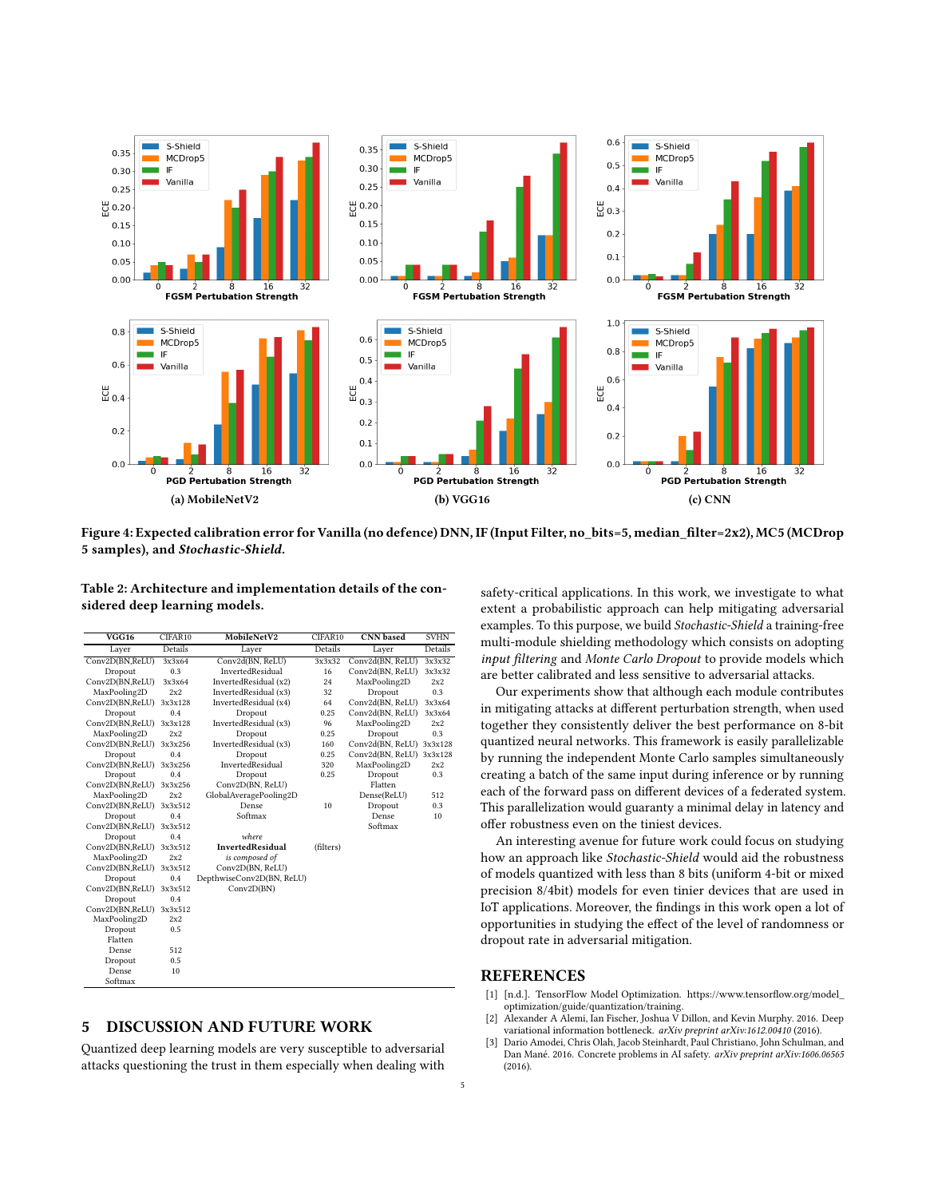<span id="page-4-2"></span>

Figure 4: Expected calibration error for Vanilla (no defence) DNN, IF (Input Filter, no\_bits=5, median\_filter=2x2), MC5 (MCDrop 5 samples), and Stochastic-Shield.

Table 2: Architecture and implementation details of the considered deep learning models.

| $\overline{VGG16}$ | CIFAR10 | MobileNetV2               | CIFAR10   | <b>CNN</b> based | <b>SVHN</b> |
|--------------------|---------|---------------------------|-----------|------------------|-------------|
| Layer              | Details | Layer                     | Details   | Layer            | Details     |
| Conv2D(BN,ReLU)    | 3x3x64  | Conv2d(BN, ReLU)          | 3x3x32    | Conv2d(BN, ReLU) | 3x3x32      |
| Dropout            | 0.3     | InvertedResidual          | 16        | Conv2d(BN, ReLU) | 3x3x32      |
| Conv2D(BN,ReLU)    | 3x3x64  | InvertedResidual (x2)     | 24        | MaxPooling2D     | 2x2         |
| MaxPooling2D       | 2x2     | InvertedResidual (x3)     | 32        | Dropout          | 0.3         |
| Conv2D(BN,ReLU)    | 3x3x128 | InvertedResidual (x4)     | 64        | Conv2d(BN, ReLU) | 3x3x64      |
| Dropout            | 0.4     | Dropout                   | 0.25      | Conv2d(BN, ReLU) | 3x3x64      |
| Conv2D(BN,ReLU)    | 3x3x128 | InvertedResidual (x3)     | 96        | MaxPooling2D     | 2x2         |
| MaxPooling2D       | 2x2     | Dropout                   | 0.25      | Dropout          | 0.3         |
| Conv2D(BN,ReLU)    | 3x3x256 | InvertedResidual (x3)     | 160       | Conv2d(BN, ReLU) | 3x3x128     |
| Dropout            | 0.4     | Dropout                   | 0.25      | Conv2d(BN, ReLU) | 3x3x128     |
| Conv2D(BN,ReLU)    | 3x3x256 | InvertedResidual          | 320       | MaxPooling2D     | 2x2         |
| Dropout            | 0.4     | Dropout                   | 0.25      | Dropout          | 0.3         |
| Conv2D(BN,ReLU)    | 3x3x256 | Conv2D(BN, ReLU)          |           | Flatten          |             |
| MaxPooling2D       | 2x2     | GlobalAveragePooling2D    |           | Dense(ReLU)      | 512         |
| Conv2D(BN,ReLU)    | 3x3x512 | Dense                     | 10        | Dropout          | 0.3         |
| Dropout            | 0.4     | Softmax                   |           | Dense            | 10          |
| Conv2D(BN,ReLU)    | 3x3x512 |                           |           | Softmax          |             |
| Dropout            | 0.4     | where                     |           |                  |             |
| Conv2D(BN,ReLU)    | 3x3x512 | <b>InvertedResidual</b>   | (filters) |                  |             |
| MaxPooling2D       | 2x2     | is composed of            |           |                  |             |
| Conv2D(BN,ReLU)    | 3x3x512 | Conv2D(BN, ReLU)          |           |                  |             |
| Dropout            | 0.4     | DepthwiseConv2D(BN, ReLU) |           |                  |             |
| Conv2D(BN,ReLU)    | 3x3x512 | Conv2D(BN)                |           |                  |             |
| Dropout            | 0.4     |                           |           |                  |             |
| Conv2D(BN,ReLU)    | 3x3x512 |                           |           |                  |             |
| MaxPooling2D       | 2x2     |                           |           |                  |             |
| Dropout            | 0.5     |                           |           |                  |             |
| Flatten            |         |                           |           |                  |             |
| Dense              | 512     |                           |           |                  |             |
| Dropout            | 0.5     |                           |           |                  |             |
| Dense              | 10      |                           |           |                  |             |
| Softmax            |         |                           |           |                  |             |

#### 5 DISCUSSION AND FUTURE WORK

Quantized deep learning models are very susceptible to adversarial attacks questioning the trust in them especially when dealing with safety-critical applications. In this work, we investigate to what extent a probabilistic approach can help mitigating adversarial examples. To this purpose, we build Stochastic-Shield a training-free multi-module shielding methodology which consists on adopting input filtering and Monte Carlo Dropout to provide models which are better calibrated and less sensitive to adversarial attacks.

Our experiments show that although each module contributes in mitigating attacks at different perturbation strength, when used together they consistently deliver the best performance on 8-bit quantized neural networks. This framework is easily parallelizable by running the independent Monte Carlo samples simultaneously creating a batch of the same input during inference or by running each of the forward pass on different devices of a federated system. This parallelization would guaranty a minimal delay in latency and offer robustness even on the tiniest devices.

An interesting avenue for future work could focus on studying how an approach like Stochastic-Shield would aid the robustness of models quantized with less than 8 bits (uniform 4-bit or mixed precision 8/4bit) models for even tinier devices that are used in IoT applications. Moreover, the findings in this work open a lot of opportunities in studying the effect of the level of randomness or dropout rate in adversarial mitigation.

#### REFERENCES

- <span id="page-4-3"></span>[1] [n.d.]. TensorFlow Model Optimization. [https://www.tensorflow.org/model\\_](https://www.tensorflow.org/model_optimization/guide/quantization/training) [optimization/guide/quantization/training.](https://www.tensorflow.org/model_optimization/guide/quantization/training)
- <span id="page-4-1"></span>[2] Alexander A Alemi, Ian Fischer, Joshua V Dillon, and Kevin Murphy. 2016. Deep variational information bottleneck. arXiv preprint arXiv:1612.00410 (2016).
- <span id="page-4-0"></span>[3] Dario Amodei, Chris Olah, Jacob Steinhardt, Paul Christiano, John Schulman, and Dan Mané. 2016. Concrete problems in AI safety. arXiv preprint arXiv:1606.06565 (2016).